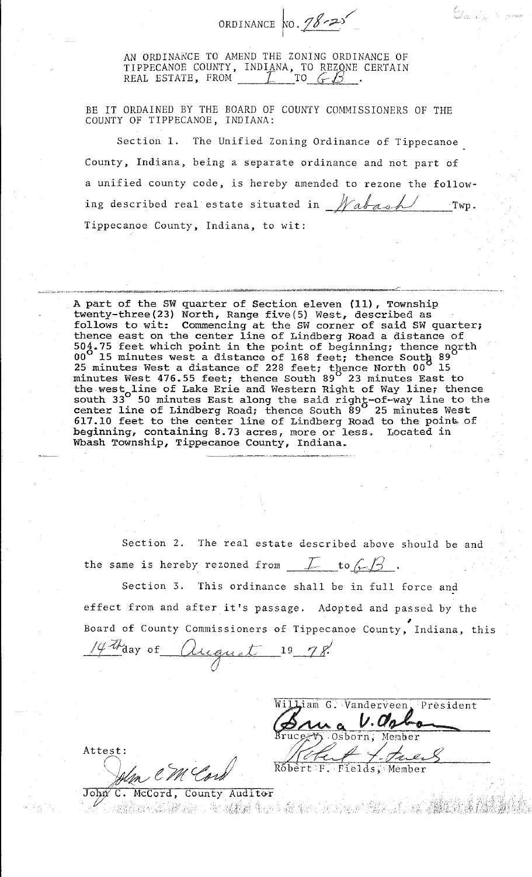ORDINANCE  $\sqrt{0.78.25}$ 

AN ORDINANCE TO AMEND THE ZONING ORDINANCE OF TIPPECANOE COUNTY, INDIANA, TO REZONE CERTAIN<br>REAL ESTATE, FROM <u>[ [</u> TO  $\overline{C}\overline{D}$  ].

BE IT ORDAINED BY THE BOARD OF COUNTY COMMISSIONERS OF THE COUNTY OF TIPPECANOE, INDIANA:

Section 1. The Unified Zoning Ordinance of Tippecanoe County, Indiana, being a separate ordinance and not part of a unified county code, is hereby amended to rezone the following described real estate situated in  $\n *Mabas* L.$  Twp. Tippecanoe County, Indiana, to wit:

~~---··--- ·--- ------~~~""··""--"'--7b~"'~"""'"""'•""""'"'---""'"""""°"""'~'~"""""""""'"""~-~"-·=<"''""""'~-....\_",,,.:;,:;..·~--w.:..~.;;,"'"""""'",,.., ~~ -----·--->~----------~~"- A part of the SW quarter of Section eleven **(11),** Township twenty-three(23) North, Range five(5) West, described as follows to wit: Commencing at the SW corner of said SW quarter; thence east on the center line of Lindberg Road a distance of 504.75 feet which point in the point of beginning; thence ngrth 00<sup>0</sup> 15 minutes west a distance of 168 feet; thence South 89 25 minutes West a distance of 228 feet; thence North 00<sup>0</sup> 15 minutes West 476.55 feet; thence South 89 23 minutes East to the west<sub>o</sub>line of Lake Erie and Western Right of Way line; thence south 33<sup>°</sup> 50 minutes East along the said right-of-way line to the center line of Lindberg Road; thence South 89<sup>0</sup> 25 minutes West **617.10** feet to the center line of Lindberg Road to the point of beginning, containing 8.73 acres, more or less. Located in Wbash Township, Tippecanoe County, Indiana.

Section 2. The real estate described above should be and the same is hereby rezoned from  $\mathcal{I}$  to  $\mathcal{L}$ 

Section 3. This ordinance shall be in full force and effect from and after it's passage. Adopted and passed by the Board of County Commissioners of Tippecanoe County, Indiana, this

*IC Th* day of *Quegust* 19 78.

William G. Vanderveen, President Robert F. Fields, Member

.·.:,!,\-'.;'

Attest:

Alen CM Cord

John C. McCord, County Auditor a produced a constitution of the constitution of the constitution of the constitution of the constitution of t<br>And the constitution of the constitution of the constitution of the constitution of the constitution of the co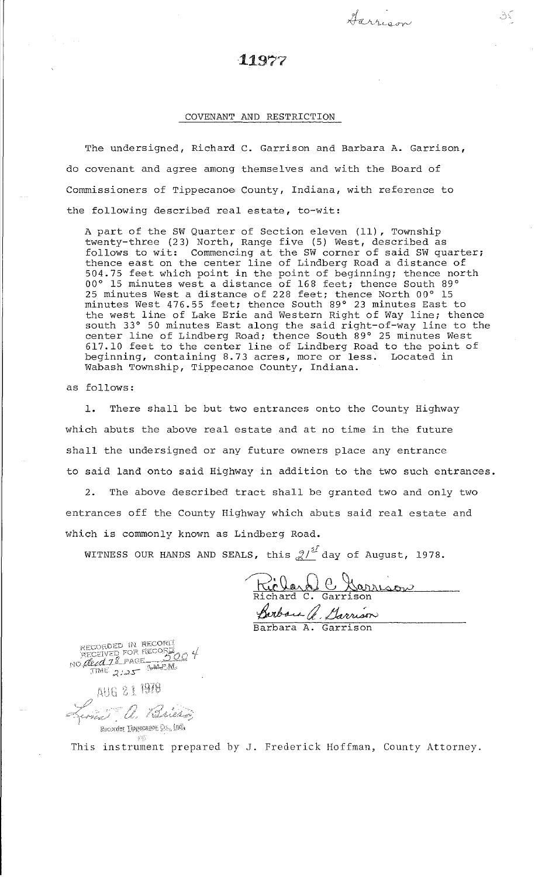## 11977

*4--a* ,, **J.,** *j* • .J . ~ ~- l,c **i;.L--U"""Y'** 

## COVENANT AND RESTRICTION

The undersigned, Richard c. Garrison and Barbara A. Garrison, do covenant and agree among themselves and with the Board of Commissioners of Tippecanoe' County, Indiana, with reference to the following described real estate, to-wit:

A part of the SW Quarter of Section eleven (11) , Township twenty-three (23) North, Range five (5) West, described as follows to wit: Commencing at the SW corner of said SW quarter; thence east on the center line of Lindberg Road a distance of 504.75 feet which point in the point of beginning; thence north 00° 15 minutes west a distance of 168 feet; thence South 89° 25 minutes West a distance of 228 feet; thence North 00° 15 minutes West 476.55 feet; thence South 89° 23 minutes East to the west line of Lake Erie and Western Right of Way line; thence south 33° 50 minutes East along the said right-of-way line to the center line of Lindberg Road; thence South 89° 25 minutes West 617.10 feet to the center line of Lindberg Road to the point of beginning, containing 8.73 acres, more or less. Located in Wabash Township, Tippecanoe County, Indiana.

as follows:

1. There shall be but two entrances onto the County Highway which abuts the above real estate and at no time in the future shall the undersigned or any future owners place any entrance to said land onto said Highway in addition to the two such entrances.

2. The above described tract shall be granted two and only two entrances off the County Highway which abuts said real estate and which is commonly known as Lindberg Road.

WITNESS OUR HANDS AND SEALS, this  $\mathcal{Q}/\mathcal{Q}^2$  day of August, 1978.

Riclard C Garrison Richard C. Garrison Parbaca G. Sarrison

*u'*  I AUG 21 1978 Lina a. Bailes  $\mathsf{Re}\mathsf{order}$  Depecance  $\mathbb{S}\mathbb{I}_n$  in  $\mathbb{S}$ 

This instrument prepared by J. Frederick Hoffman, County Attorney.